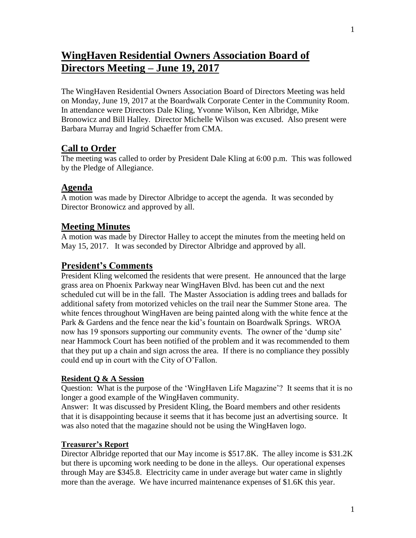# **WingHaven Residential Owners Association Board of Directors Meeting – June 19, 2017**

The WingHaven Residential Owners Association Board of Directors Meeting was held on Monday, June 19, 2017 at the Boardwalk Corporate Center in the Community Room. In attendance were Directors Dale Kling, Yvonne Wilson, Ken Albridge, Mike Bronowicz and Bill Halley. Director Michelle Wilson was excused. Also present were Barbara Murray and Ingrid Schaeffer from CMA.

## **Call to Order**

The meeting was called to order by President Dale Kling at 6:00 p.m. This was followed by the Pledge of Allegiance.

## **Agenda**

A motion was made by Director Albridge to accept the agenda. It was seconded by Director Bronowicz and approved by all.

# **Meeting Minutes**

A motion was made by Director Halley to accept the minutes from the meeting held on May 15, 2017. It was seconded by Director Albridge and approved by all.

# **President's Comments**

President Kling welcomed the residents that were present. He announced that the large grass area on Phoenix Parkway near WingHaven Blvd. has been cut and the next scheduled cut will be in the fall. The Master Association is adding trees and ballads for additional safety from motorized vehicles on the trail near the Summer Stone area. The white fences throughout WingHaven are being painted along with the white fence at the Park & Gardens and the fence near the kid's fountain on Boardwalk Springs. WROA now has 19 sponsors supporting our community events. The owner of the 'dump site' near Hammock Court has been notified of the problem and it was recommended to them that they put up a chain and sign across the area. If there is no compliance they possibly could end up in court with the City of O'Fallon.

## **Resident Q & A Session**

Question: What is the purpose of the 'WingHaven Life Magazine'? It seems that it is no longer a good example of the WingHaven community.

Answer: It was discussed by President Kling, the Board members and other residents that it is disappointing because it seems that it has become just an advertising source. It was also noted that the magazine should not be using the WingHaven logo.

## **Treasurer's Report**

Director Albridge reported that our May income is \$517.8K. The alley income is \$31.2K but there is upcoming work needing to be done in the alleys. Our operational expenses through May are \$345.8. Electricity came in under average but water came in slightly more than the average. We have incurred maintenance expenses of \$1.6K this year.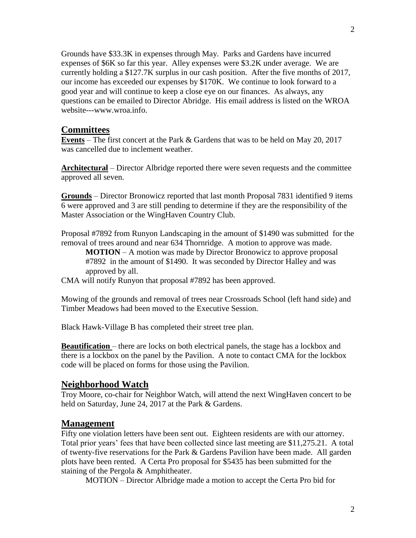Grounds have \$33.3K in expenses through May. Parks and Gardens have incurred expenses of \$6K so far this year. Alley expenses were \$3.2K under average. We are currently holding a \$127.7K surplus in our cash position. After the five months of 2017, our income has exceeded our expenses by \$170K. We continue to look forward to a good year and will continue to keep a close eye on our finances. As always, any questions can be emailed to Director Abridge. His email address is listed on the WROA website---www.wroa.info.

#### **Committees**

**Events** – The first concert at the Park & Gardens that was to be held on May 20, 2017 was cancelled due to inclement weather.

**Architectural** – Director Albridge reported there were seven requests and the committee approved all seven.

**Grounds** – Director Bronowicz reported that last month Proposal 7831 identified 9 items 6 were approved and 3 are still pending to determine if they are the responsibility of the Master Association or the WingHaven Country Club.

Proposal #7892 from Runyon Landscaping in the amount of \$1490 was submitted for the removal of trees around and near 634 Thornridge. A motion to approve was made.

**MOTION** – A motion was made by Director Bronowicz to approve proposal #7892 in the amount of \$1490. It was seconded by Director Halley and was approved by all.

CMA will notify Runyon that proposal #7892 has been approved.

Mowing of the grounds and removal of trees near Crossroads School (left hand side) and Timber Meadows had been moved to the Executive Session.

Black Hawk-Village B has completed their street tree plan.

**Beautification** – there are locks on both electrical panels, the stage has a lockbox and there is a lockbox on the panel by the Pavilion. A note to contact CMA for the lockbox code will be placed on forms for those using the Pavilion.

#### **Neighborhood Watch**

Troy Moore, co-chair for Neighbor Watch, will attend the next WingHaven concert to be held on Saturday, June 24, 2017 at the Park & Gardens.

#### **Management**

Fifty one violation letters have been sent out. Eighteen residents are with our attorney. Total prior years' fees that have been collected since last meeting are \$11,275.21. A total of twenty-five reservations for the Park & Gardens Pavilion have been made. All garden plots have been rented. A Certa Pro proposal for \$5435 has been submitted for the staining of the Pergola & Amphitheater.

MOTION – Director Albridge made a motion to accept the Certa Pro bid for